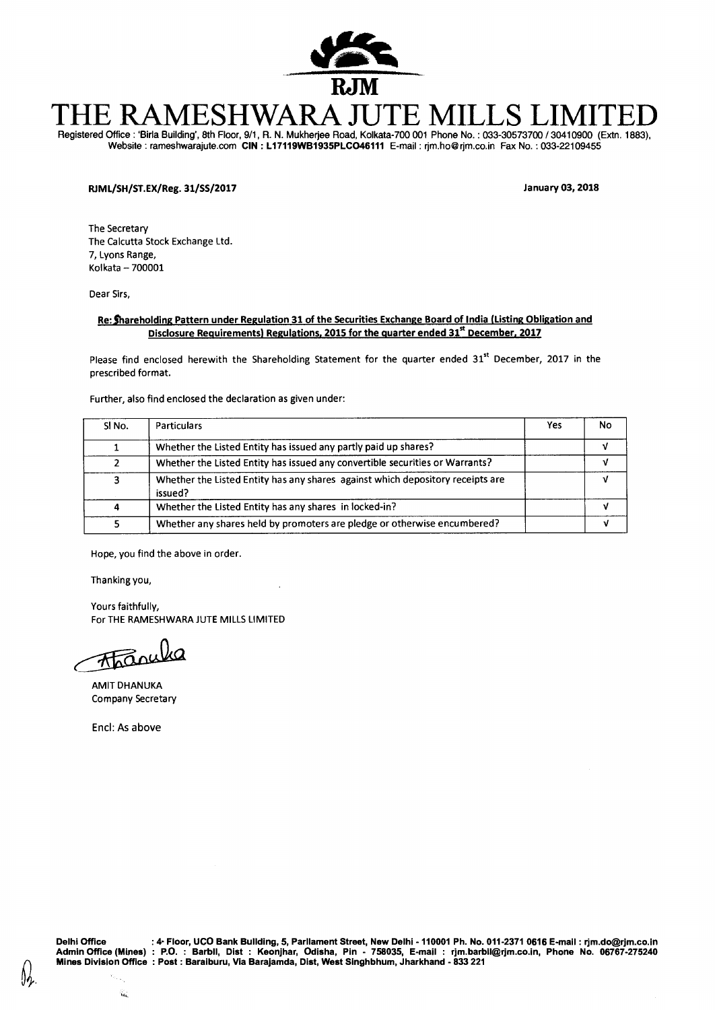

# E RAMESHWARA JUTE N

Registered Office : 'Birla Building', 8th Floor, 9/1, R. N. Mukherjee Road, Kolkata-700 001 Phone No. : 033-30573700 / 30410900 (Extn. 1883), Website : rameshwarajute.com **CIN : L17119WB1935PLC046111** E-mail : rjm.ho@rjm.co.inFax No. : 033-22109455

## **RJML/SH/ST.EX/Reg. 31/SS/2017 January 03, 2018**

The Secretary The Calcutta Stock Exchange Ltd. 7, Lyons Range, Kolkata — 700001

Dear Sirs,

### **Re: Thareholding Pattern under Regulation 31 of the Securities Exchange Board of India (Listing Obligation and Disclosure Requirements) Regulations, 2015 for the quarter ended 31<sup>st</sup> December, 2017**

Please find enclosed herewith the Shareholding Statement for the quarter ended  $31<sup>st</sup>$  December, 2017 in the prescribed format.

Further, also find enclosed the declaration as given under:

| SINO. | Particulars                                                                               | Yes | No |
|-------|-------------------------------------------------------------------------------------------|-----|----|
|       | Whether the Listed Entity has issued any partly paid up shares?                           |     |    |
|       | Whether the Listed Entity has issued any convertible securities or Warrants?              |     |    |
| 3     | Whether the Listed Entity has any shares against which depository receipts are<br>issued? |     |    |
| 4     | Whether the Listed Entity has any shares in locked-in?                                    |     |    |
|       | Whether any shares held by promoters are pledge or otherwise encumbered?                  |     |    |

Hope, you find the above in order.

Thanking you,

Yours faithfully, For THE RAMESHWARA JUTE MILLS LIMITED

**Than** 

AMIT DHANUKA Company Secretary

Encl: As above

ila.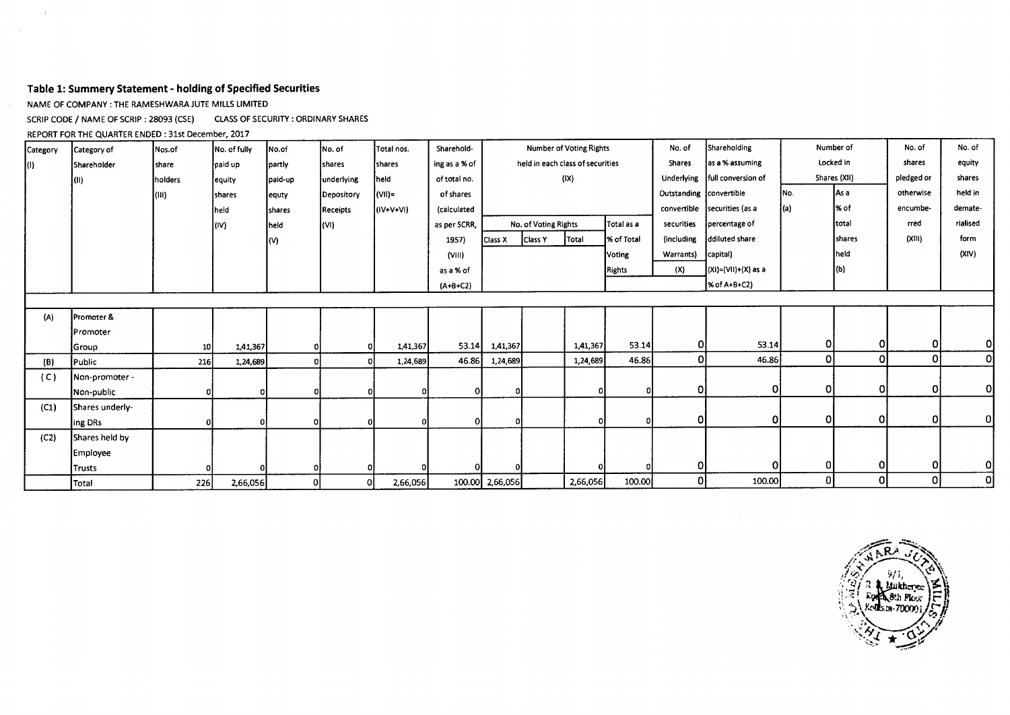## **Table 1: Summery Statement - holding of Specified Securities**

NAME OF COMPANY : THE RAMESHWARA JUTE MILLS LIMITED

 $\sim 10^7$ 

 $\sim 10^7$ 

SCRIP CODE / NAME OF SCRIP : 28093 (CSE) CLASS OF SECURITY : ORDINARY SHARES

REPORT FOR THE QUARTER ENDED : 31st December, 2017

| Category | Category of     | Nos.of       | No. of fully  | No.of         | No. of          | Total nos.     | Sharehold-    | Number of Voting Rights |                                |                                  | No. of        | Shareholding            |                           | Number of |              | No. of     |                |
|----------|-----------------|--------------|---------------|---------------|-----------------|----------------|---------------|-------------------------|--------------------------------|----------------------------------|---------------|-------------------------|---------------------------|-----------|--------------|------------|----------------|
| lO).     | Shareholder     | <b>Share</b> | paid up       | partly        | shares          | shares         | ing as a % of |                         |                                | held in each class of securities |               | Shares                  | as a % assuming           | Locked in |              | shares     | equity         |
|          | }(II)           | holders      | equity        | paid-up       | underlying      | held           | of total no.  |                         |                                | (IX)                             |               | Underlying              | full conversion of        |           | Shares (XII) | pledged or | shares         |
|          |                 | (III)        | <b>shares</b> | equty         | Depository      | $\sim$ (VII) = | of shares     |                         |                                |                                  |               | Outstanding convertible |                           | No.       | As a         | otherwise  | held in        |
|          |                 |              | heid.         | <b>shares</b> | <b>Receipts</b> | (IV+V+VI)      | (calculated   |                         |                                |                                  |               | convertible             | securities (as a          | (a)       | % of         | encumbe-   | demate-        |
|          |                 |              | l(IV)         | held          | (V )            |                | as per SCRR,  |                         | No. of Voting Rights           |                                  | Total as a    | securities              | percentage of             |           | Itotal       | rred       | rialised       |
|          |                 |              |               | (V)           |                 |                | 1957)         | Class X                 | Total<br>% of Total<br>Class Y |                                  |               | (including              | ddiluted share            |           | shares       | (XIII)     | form           |
|          |                 |              |               |               |                 |                | (VIII)        |                         | Voting                         |                                  |               | Warrants)               | capital)                  |           | held         |            | (XIV)          |
|          |                 |              |               |               |                 |                | as a % of     |                         |                                |                                  | <b>Rights</b> | (X)                     | $(XI) = (VII) + (X)$ as a |           | (b)          |            |                |
|          |                 |              |               |               |                 |                | $(A+B+C2)$    |                         |                                |                                  |               |                         | $% of A+B+C2$             |           |              |            |                |
|          |                 |              |               |               |                 |                |               |                         |                                |                                  |               |                         |                           |           |              |            |                |
| (A)      | Promoter &      |              |               |               |                 |                |               |                         |                                |                                  |               |                         |                           |           |              |            |                |
|          | lPromoter       |              |               |               |                 |                |               |                         |                                |                                  |               |                         |                           |           |              |            |                |
|          | Group           | 10           | 1,41,367      |               |                 | 1,41,367       | 53.14         | 1,41,367                |                                | 1,41,367                         | 53.14         | ΟI                      | 53.14                     | 0         | 0            | 0          | $\mathbf{O}$   |
| (B)      | Public          | 216          | 1,24,689      |               |                 | 1,24,689       | 46.86         | 1,24,689                |                                | 1,24,689                         | 46.86         | ΟI                      | 46.86                     | οl        | οl           | $\Omega$   | $\overline{0}$ |
| (C)      | Non-promoter -  |              |               |               |                 |                |               |                         |                                |                                  |               |                         |                           |           |              |            |                |
|          | Non-public      |              | οI            |               |                 |                | οI            |                         |                                | 01                               |               | $\mathbf{0}$            | 0                         | 0         | οl           | 0          | 0              |
| (C1)     | Shares underly- |              |               |               |                 |                |               |                         |                                |                                  |               |                         |                           |           |              |            |                |
|          | ing DRs         |              | <sup>0</sup>  |               |                 |                | $\Omega$      |                         |                                | ΩI                               | r             | οI                      | 0                         | Οl        | οl           | Οl         | 0              |
| (C2)     | Shares held by  |              |               |               |                 |                |               |                         |                                |                                  |               |                         |                           |           |              |            |                |
|          | Employee        |              |               |               |                 |                |               |                         |                                |                                  |               |                         |                           |           |              |            |                |
|          | Trusts          |              |               |               |                 |                |               |                         |                                |                                  |               | 0                       |                           | 01        | οI           | $\Omega$   | 0              |
|          | Total           | 226          | 2,66,056      | 0l            | Οl              | 2,66,056       |               | 100.00 2,66,056         | 2,66,056                       |                                  | 100.00        | Οl                      | 100.00                    | 0         | οl           | 0          | 0              |

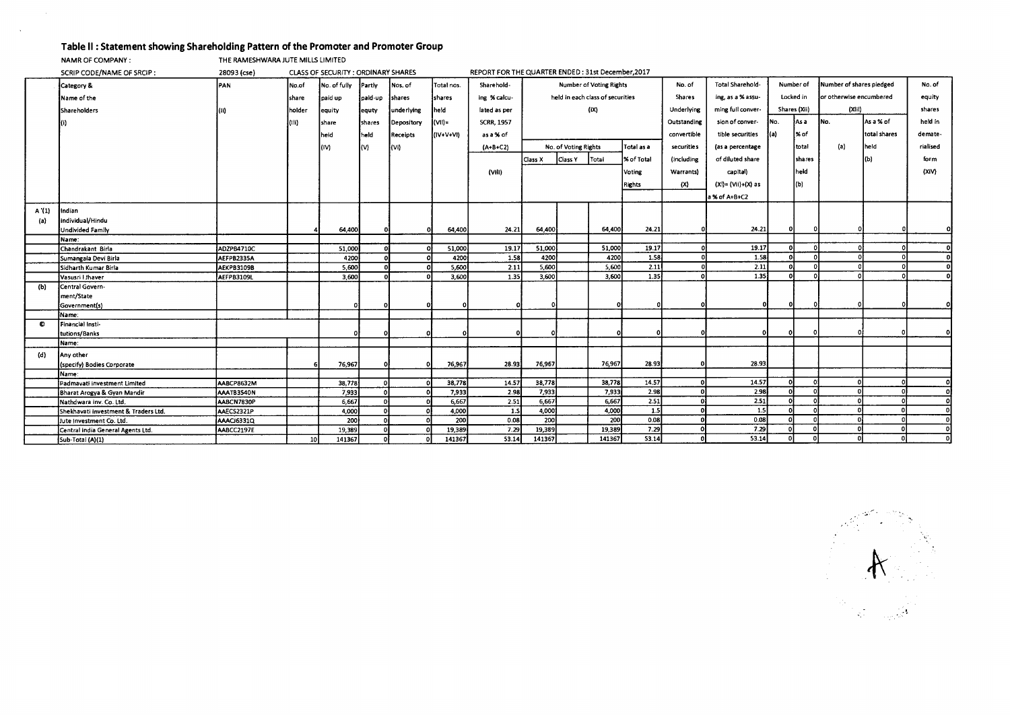## **Table II : Statement showing Shareholding Pattern of the Promoter and Promoter Group**<br>NAMR OF COMPANY : **DRE RAMESHWARA JUTE MILLS LIMITED**

THE RAMESHWARA JUTE MILLS LIMITED

 $\sim$ 

 $\sim$ 

|           | SCRIP CODE/NAME OF SRCIP:            | 28093 (cse)       |                 | CLASS OF SECURITY: ORDINARY SHARES |              |            |              | REPORT FOR THE QUARTER ENDED: 31st December, 2017 |         |                                    |                                  |               |               |                    |            |               |                          |              |          |          |
|-----------|--------------------------------------|-------------------|-----------------|------------------------------------|--------------|------------|--------------|---------------------------------------------------|---------|------------------------------------|----------------------------------|---------------|---------------|--------------------|------------|---------------|--------------------------|--------------|----------|----------|
|           | Category &                           | PAN               | No.of           | No. of fully                       | Partly       | Nos. of    | Total nos.   | Sharehold-                                        |         |                                    | <b>Number of Voting Rights</b>   |               | No. of        | Total Sharehold-   | Number of  |               | Number of shares pledged |              | No. of   |          |
|           | Name of the                          |                   | share           | paid up                            | paid up      | shares     | Ishares      | ing % calcu-                                      |         |                                    | held in each class of securities |               | <b>Shares</b> | ing, as a % assu-  | Locked in  |               | lor otherwise encumbered |              | equity   |          |
|           | Shareholders                         | (II)              | holder          | equity                             | lequty       | underlying | heid.        | lated as per                                      |         |                                    | (iX)                             |               | Underlying    | ming full conver-  |            | Shares (Xii)  | (Xiii)                   |              | shares   |          |
|           |                                      |                   | (III)           | share                              | Ishares      | Depository | $ (\vee)  =$ | <b>SCRR, 1957</b>                                 |         |                                    |                                  |               | Outstanding   | sion of conver-    | INo.       | As a          | INo.                     | As a % of    | held in  |          |
|           |                                      |                   |                 | held                               | <b>Theld</b> | Receipts   | (IV+V+VI)    | as a % of                                         |         |                                    |                                  |               | convertible   | tible securities   | $\{a\}$    | l% of         |                          | total shares | demate-  |          |
|           |                                      |                   |                 | (IV)                               | I(V)         | $\{V\}$    |              | $(A+B+C2)$                                        |         | Total as a<br>No. of Voting Rights |                                  |               | securities    | (as a percentage   |            | total         | (a)                      | held         | rialised |          |
|           |                                      |                   |                 |                                    |              |            |              |                                                   | Class X | Class Y                            | Total                            | % of Total    | (including    | of diluted share   |            | <b>shares</b> |                          | (Ы           | form     |          |
|           |                                      |                   |                 |                                    |              |            |              |                                                   |         |                                    |                                  |               |               |                    |            | heid.         |                          |              | (XiV)    |          |
|           |                                      |                   |                 |                                    |              |            |              | (VIII)                                            |         |                                    |                                  | <b>Voting</b> | Warrants)     | capital)           |            |               |                          |              |          |          |
|           |                                      |                   |                 |                                    |              |            |              |                                                   |         |                                    |                                  | Rights        | (X)           | (Xi)= (Vii)+(X) as |            | (b)           |                          |              |          |          |
|           |                                      |                   |                 |                                    |              |            |              |                                                   |         |                                    |                                  |               |               | a % of A+B+C2      |            |               |                          |              |          |          |
| A'(1)     | Indian                               |                   |                 |                                    |              |            |              |                                                   |         |                                    |                                  |               |               |                    |            |               |                          |              |          |          |
| (a)       | individual/Hindu                     |                   |                 |                                    |              |            |              |                                                   |         |                                    |                                  |               |               |                    |            |               |                          |              |          |          |
|           | <b>Undivided Family</b>              |                   |                 | 64,400                             |              |            | 64,400       | 24.21                                             | 64,400  |                                    | 64,400                           | 24.21         |               | 24.21              |            |               |                          |              |          |          |
|           | Name:                                |                   |                 |                                    |              |            |              |                                                   |         |                                    |                                  |               |               |                    |            |               |                          |              |          |          |
|           | Chandrakant Birla                    | ADZPB4710C        |                 | 51,000                             |              | $\Omega$   | 51,000       | 19.17                                             | 51,000  |                                    | 51,000                           | 19.17         |               | 19.17              | $\sqrt{2}$ |               |                          |              |          | ΩI       |
|           | Sumangala Devi Birla                 | AEFPB2335A        |                 | 4200                               |              |            | 4200         | 1.58                                              | 4200    |                                    | 4200                             | 1.58          |               | 1.58               | $\Delta$   |               |                          |              |          | $\circ$  |
|           | Sidharth Kumar Birla                 | AEKPB3109B        |                 | 5,600                              |              |            | 5,600        | 2.11                                              | 5,600   |                                    | 5,600                            | 2.11          |               | 2.11               | $\Omega$   |               |                          |              |          | $\Omega$ |
|           | Vasusri I Jhaver                     | <b>AEFPB3109L</b> |                 | 3,600                              |              |            | 3,600        | 1.35                                              | 3,600   |                                    | 3,600                            | 1.35          |               | 1.35               | $\Omega$   | $\Omega$      |                          |              |          | ി        |
| (b)       | Central Govern-                      |                   |                 |                                    |              |            |              |                                                   |         |                                    |                                  |               |               |                    |            |               |                          |              |          |          |
|           | ment/State                           |                   |                 |                                    |              |            |              |                                                   |         |                                    |                                  |               |               |                    |            |               |                          |              |          |          |
|           | Government(s)                        |                   |                 | o                                  |              |            |              |                                                   |         |                                    |                                  |               |               |                    |            |               |                          |              |          |          |
|           | Name:                                |                   |                 |                                    |              |            |              |                                                   |         |                                    |                                  |               |               |                    |            |               |                          |              |          |          |
| $\bullet$ | Financial Insti-                     |                   |                 |                                    |              |            |              |                                                   |         |                                    |                                  |               |               |                    |            |               |                          |              |          |          |
|           | tutions/Banks                        |                   |                 |                                    |              |            |              |                                                   |         |                                    |                                  |               |               |                    |            |               |                          |              |          |          |
|           | Name:                                |                   |                 |                                    |              |            |              |                                                   |         |                                    |                                  |               |               |                    |            |               |                          |              |          |          |
| (d)       | Any other                            |                   |                 |                                    |              |            |              |                                                   |         |                                    |                                  |               |               |                    |            |               |                          |              |          |          |
|           | (specify) Bodies Corporate           |                   |                 | 76,967                             |              |            | 76,967       | 28.93                                             | 76,967  |                                    | 76,967                           | 28.93         |               | 28.93              |            |               |                          |              |          |          |
|           | Name:                                |                   |                 |                                    |              |            |              |                                                   |         |                                    |                                  |               |               |                    |            |               |                          |              |          |          |
|           | Padmavati investment Limited         | AABCP8632M        |                 | 38,778                             |              |            | 38,778       | 14.57                                             | 38,778  |                                    | 38,778                           | 14.57         | $\Omega$      | 14.57              |            |               |                          |              |          | 0.       |
|           | Bharat Arogya & Gyan Mandir          | AAATB3540N        |                 | 7,933                              |              |            | 7,933        | 2.98                                              | 7,933   |                                    | 7,933                            | 2.98          | $\sqrt{2}$    | 2.98               |            |               |                          |              |          |          |
|           | Nathdwara inv. Co. Ltd.              | AABCN7830P        |                 | 6,667                              |              |            | 6,667        | 2.51                                              | 6,667   |                                    | 6.667                            | 2.51          |               | 2.51               |            |               |                          |              |          |          |
|           | Shekhavati investment & Traders Ltd. | AAECS2321P        |                 | 4,000                              |              |            | 4,000        | <b>1.S</b>                                        | 4,000   |                                    | 4,000                            | 1.5           |               | 1.5                |            |               |                          |              |          |          |
|           | Jute Investment Co. Ltd.             | AAACJ6331Q        |                 | 200                                |              |            | 200          | 0.08                                              | 200     |                                    | 200                              | 0.08          |               | 0.08               |            |               |                          |              |          |          |
|           | Central india General Agents Ltd.    | AABCC2197E        |                 | 19,389                             |              |            | 19,389       | 7.29                                              | 19,389  |                                    | 19,389                           | 7.29          |               | 7.29               |            |               |                          |              |          |          |
|           | Sub-Total (A)(1)                     |                   | 10 <sup>1</sup> | 141367                             |              |            | 141367       | 53.14                                             | 141367  |                                    | 141367                           | 53.14         |               | 53.14              |            |               |                          |              |          |          |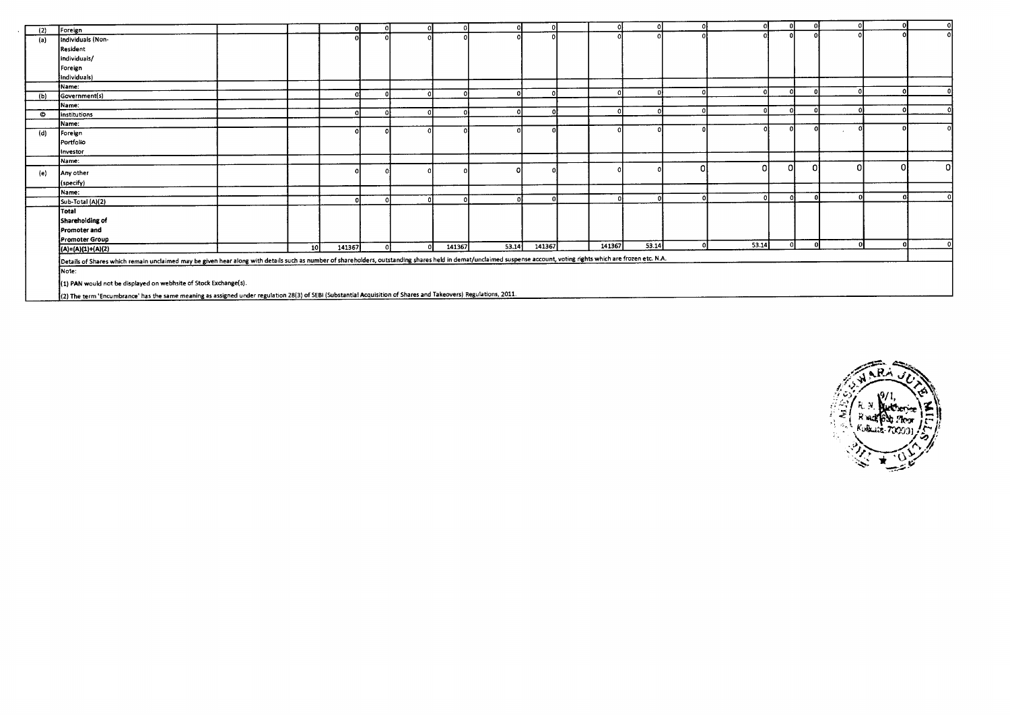| (2) | Foreign                                                                                                                                                                                                             |    |        |  |        |              |        |        |       |       | n١     |              | ΩL           |
|-----|---------------------------------------------------------------------------------------------------------------------------------------------------------------------------------------------------------------------|----|--------|--|--------|--------------|--------|--------|-------|-------|--------|--------------|--------------|
| (a) | Individuals (Non-                                                                                                                                                                                                   |    |        |  |        |              |        |        |       |       |        |              | ۵I           |
|     | Resident                                                                                                                                                                                                            |    |        |  |        |              |        |        |       |       |        |              |              |
|     | individuals/                                                                                                                                                                                                        |    |        |  |        |              |        |        |       |       |        |              |              |
|     | Foreign                                                                                                                                                                                                             |    |        |  |        |              |        |        |       |       |        |              |              |
|     | individuals)                                                                                                                                                                                                        |    |        |  |        |              |        |        |       |       |        |              |              |
|     | İName:                                                                                                                                                                                                              |    |        |  |        |              |        |        |       |       |        |              |              |
| (b) | Government(s)                                                                                                                                                                                                       |    |        |  |        | $\mathbf{a}$ |        |        |       |       |        |              |              |
|     | Name:                                                                                                                                                                                                               |    |        |  |        |              |        |        |       |       |        |              |              |
| O   | <b>Institutions</b>                                                                                                                                                                                                 |    |        |  |        | $\Omega$     |        |        |       |       |        |              |              |
|     | Name:                                                                                                                                                                                                               |    |        |  |        |              |        |        |       |       |        |              |              |
| (d) | Foreign                                                                                                                                                                                                             |    |        |  |        |              |        |        |       |       |        |              | $\Omega$     |
|     | Portfolio                                                                                                                                                                                                           |    |        |  |        |              |        |        |       |       |        |              |              |
|     | Investor                                                                                                                                                                                                            |    |        |  |        |              |        |        |       |       |        |              |              |
|     | Name:                                                                                                                                                                                                               |    |        |  |        |              |        |        |       |       |        |              |              |
| (e) | Any other                                                                                                                                                                                                           |    |        |  |        |              |        |        |       |       | Ω      |              | οl           |
|     | (specify)                                                                                                                                                                                                           |    |        |  |        |              |        |        |       |       |        |              |              |
|     | Name:                                                                                                                                                                                                               |    |        |  |        |              |        |        |       |       |        |              |              |
|     | Sub-Total (A)(2)                                                                                                                                                                                                    |    |        |  |        |              |        |        |       |       |        |              | $\mathbf{r}$ |
|     | Total                                                                                                                                                                                                               |    |        |  |        |              |        |        |       |       |        |              |              |
|     | Shareholding of                                                                                                                                                                                                     |    |        |  |        |              |        |        |       |       |        |              |              |
|     | Promoter and                                                                                                                                                                                                        |    |        |  |        |              |        |        |       |       |        |              |              |
|     | Promoter Group                                                                                                                                                                                                      |    |        |  |        |              |        |        |       |       |        |              |              |
|     | $(A)=(A)(1)+(A)(2)$                                                                                                                                                                                                 | 10 | 141367 |  | 141367 | 53.14        | 141367 | 141367 | 53.14 | 53.14 | $\sim$ | n.<br>$\sim$ | ΩI           |
|     | Details of Shares which remain unclaimed may be given hear along with details such as number of shareholders, outstanding shares held in demat/unclaimed suspense account, voting rights which are frozen etc. N.A. |    |        |  |        |              |        |        |       |       |        |              |              |
|     | Note:                                                                                                                                                                                                               |    |        |  |        |              |        |        |       |       |        |              |              |
|     |                                                                                                                                                                                                                     |    |        |  |        |              |        |        |       |       |        |              |              |
|     | (1) PAN would not be displayed on webhsite of Stock Exchange(s).                                                                                                                                                    |    |        |  |        |              |        |        |       |       |        |              |              |
|     | {(2) The term 'Encumbrance' has the same meaning as assigned under regulation 28(3) of SEBI (Substantial Acquisition of Shares and Takeovers) Regulations, 2011.                                                    |    |        |  |        |              |        |        |       |       |        |              |              |

(2) The term 'Encumbrance' has the same meaning as assigned under regulation 28(3) of SEBI (Substantial Acquisition of Shares and Takeovers) Regulations, 2011.

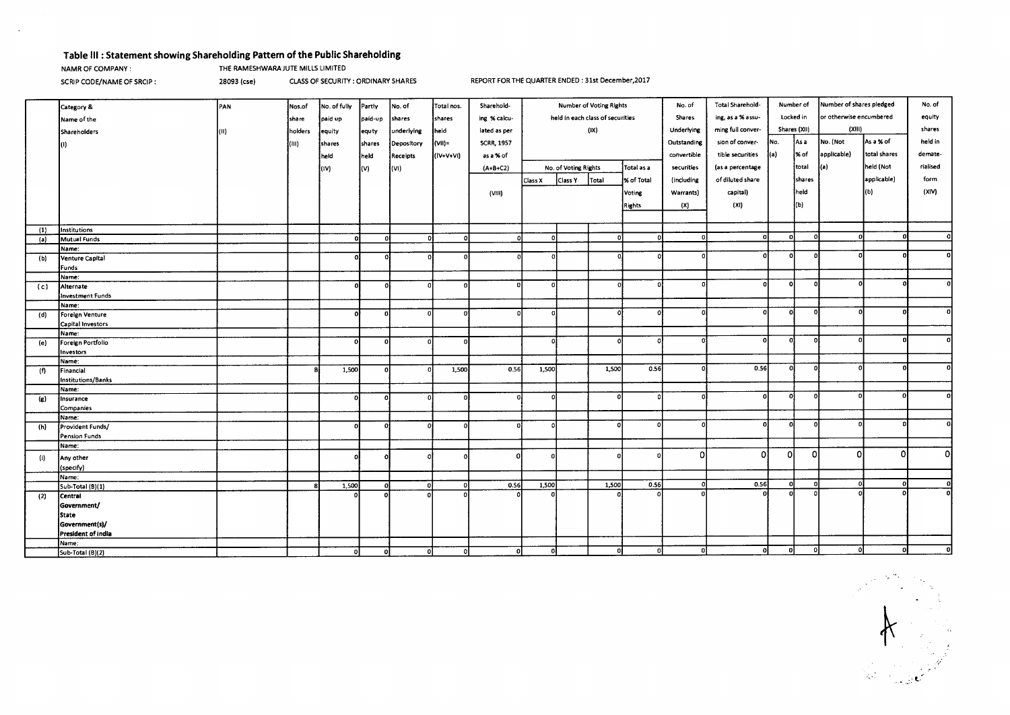## **Table Ill : Statement showing Shareholding Pattern of the Public Shareholding**

 $\sim$ 

NAMR OF COMPANY : THE RAMESHWARA JUTE MILLS LIMITED

SCRIP CODE/NAME OF SRCIP : 28093 (cse) CLASS OF SECURITY : ORDINARY SHARES REPORT FOR THE QUARTER ENDED : 31st December,2017

|                             | Category &                 | PAN  | Nos.of  | No. of fully | Partly       | No. of     | Total nos. | Sharehold-        | Number of Voting Rights          |                      | No. of                      | Total Sharehold-  |                 | Number of shares pledged<br>Number of |                         |          | No. of      |              |          |
|-----------------------------|----------------------------|------|---------|--------------|--------------|------------|------------|-------------------|----------------------------------|----------------------|-----------------------------|-------------------|-----------------|---------------------------------------|-------------------------|----------|-------------|--------------|----------|
|                             | Name of the                |      | share   | paid up      | paid-up      | shares     | shares     | ing % calcu-      | held in each class of securities |                      | ing, as a % assu-<br>Shares |                   | Locked in       |                                       | or otherwise encumbered | equity   |             |              |          |
|                             |                            |      |         |              |              |            |            |                   | (IX)                             |                      | Underlying                  | ming full conver- | Shares (XII)    |                                       | (XIII)                  |          | shares      |              |          |
|                             | Shareholders               | (II) | holders | equity       | equty        | underlying | held       | lated as per      |                                  |                      |                             |                   |                 |                                       |                         |          |             |              |          |
|                             |                            |      | lam.    | shares       | shares       | Depository | (VII)=     | <b>SCRR, 1957</b> |                                  |                      |                             | Outstanding       | sion of conver- | INo.                                  | As a                    | No. (Not | As a % of   | held in      |          |
|                             |                            |      |         | held)        | held         | Receipts   | (IV+V+VI)  | as a % of         |                                  |                      |                             |                   | convertible     | tible securities                      | l(a)                    | ∤% of    | applicable) | total shares | demate-  |
|                             |                            |      |         | l(IV)        | (V)          | (VI)       |            | $(A + B + C2)$    |                                  | No. of Voting Rights |                             | Total as a        | securities      | (as a percentage                      |                         | total    | (a)         | held (Not    | rialised |
|                             |                            |      |         |              |              |            |            |                   | Class X                          | Class Y              | Total                       | X of Total        | (including      | of diluted share                      |                         | shares   |             | applicable)  | form     |
|                             |                            |      |         |              |              |            |            |                   |                                  |                      |                             |                   |                 |                                       |                         |          |             |              | (X V)    |
|                             |                            |      |         |              |              |            |            | (VIII)            |                                  |                      |                             | Voting            | Warrants)       | capital)                              |                         | held     |             | (b)          |          |
|                             |                            |      |         |              |              |            |            |                   |                                  |                      |                             | <b>Rights</b>     | (X)             | (X!)                                  |                         | (b)      |             |              |          |
|                             |                            |      |         |              |              |            |            |                   |                                  |                      |                             |                   |                 |                                       |                         |          |             |              |          |
| (1)                         | Institutions               |      |         |              |              |            |            |                   |                                  |                      |                             |                   |                 |                                       |                         |          |             |              |          |
| (a)                         | Mutual Funds               |      |         | D.           |              |            |            |                   | n                                |                      | $\Omega$                    | n                 | 0               | οI                                    | $\mathbf{r}$            |          |             |              | Ωl       |
|                             | Name:                      |      |         |              |              |            |            |                   |                                  |                      |                             |                   |                 |                                       |                         |          |             |              |          |
| (b)                         | Venture Capital            |      |         | $^{\circ}$   |              |            | ſ          |                   | 0                                |                      |                             |                   |                 | 0                                     | $\mathbf{C}$            |          |             |              |          |
|                             | Funds                      |      |         |              |              |            |            |                   |                                  |                      |                             |                   |                 |                                       |                         |          |             |              |          |
|                             | Name:                      |      |         |              |              |            |            |                   |                                  |                      |                             |                   |                 |                                       |                         |          |             |              |          |
| (c)                         | Alternate                  |      |         | nl           |              |            |            | $\mathbf o$       | $\Omega$                         |                      | $\Omega$                    |                   |                 | - O                                   | n                       |          |             |              |          |
|                             | Investment Funds           |      |         |              |              |            |            |                   |                                  |                      |                             |                   |                 |                                       |                         |          |             |              |          |
|                             | Name:                      |      |         | ΩI           |              | n.         | r          |                   | oi                               |                      | $\Omega$                    |                   |                 | o                                     | $\mathbf{r}$            |          |             |              |          |
| (d)                         | Foreign Venture            |      |         |              |              |            |            |                   |                                  |                      |                             |                   |                 |                                       |                         |          |             |              |          |
|                             | Capital Investors<br>Name: |      |         |              |              |            |            |                   |                                  |                      |                             |                   |                 |                                       |                         |          |             |              |          |
| (e)                         | Foreign Portfolio          |      |         | n١           |              |            |            |                   | ΩÌ                               |                      |                             |                   |                 | o                                     | $\Omega$                | n        |             |              |          |
|                             | Investors                  |      |         |              |              |            |            |                   |                                  |                      |                             |                   |                 |                                       |                         |          |             |              |          |
|                             | Name:                      |      |         |              |              |            |            |                   |                                  |                      |                             |                   |                 |                                       |                         |          |             |              |          |
| (1)                         | Financial                  |      |         | 1,500        |              |            | 1,500      | 0.56              | 1,500                            |                      | 1,500                       | 0.56              |                 | 0.56                                  | $\sqrt{2}$              | n        |             |              |          |
|                             | Institutions/Banks         |      |         |              |              |            |            |                   |                                  |                      |                             |                   |                 |                                       |                         |          |             |              |          |
|                             | Name:                      |      |         |              |              |            |            |                   |                                  |                      |                             |                   |                 |                                       |                         |          |             |              | n.       |
| $\left( \mathbf{g} \right)$ | Insurance                  |      |         | οl           |              |            |            |                   |                                  |                      |                             |                   |                 | D.                                    | n                       |          |             |              |          |
|                             | Companies                  |      |         |              |              |            |            |                   |                                  |                      |                             |                   |                 |                                       |                         |          |             |              |          |
|                             | Name:                      |      |         | ΩI           |              | $\Omega$   | $\Omega$   |                   |                                  |                      |                             |                   |                 | n                                     | n                       |          |             |              |          |
| (h)                         | Provident Funds/           |      |         |              |              |            |            |                   |                                  |                      |                             |                   |                 |                                       |                         |          |             |              |          |
|                             | Pension Funds<br>Name:     |      |         |              |              |            |            |                   |                                  |                      |                             |                   |                 |                                       |                         |          |             |              |          |
|                             |                            |      |         |              |              |            |            | n                 |                                  |                      |                             |                   | ٥I              | οl                                    | 0                       | $\Omega$ | n           | Ω            | -OI      |
| (i)                         | Any other                  |      |         |              |              |            |            |                   |                                  |                      |                             |                   |                 |                                       |                         |          |             |              |          |
|                             | (specify)                  |      |         |              |              |            |            |                   |                                  |                      |                             |                   |                 |                                       |                         |          |             |              |          |
|                             | Name:<br>Sub-Total (B)(1)  |      |         | 1,500        |              | oł         | $\Omega$   | 0.56              | 1,500                            |                      | 1,500                       | 0.56              | οl              | 0.56                                  | o                       | n.       | $\sqrt{2}$  |              | o        |
| (2)                         | Central                    |      |         |              |              |            |            |                   |                                  |                      |                             |                   |                 |                                       | o                       |          |             |              | ol       |
|                             | Government/                |      |         |              |              |            |            |                   |                                  |                      |                             |                   |                 |                                       |                         |          |             |              |          |
|                             | <b>State</b>               |      |         |              |              |            |            |                   |                                  |                      |                             |                   |                 |                                       |                         |          |             |              |          |
|                             | Government(s)/             |      |         |              |              |            |            |                   |                                  |                      |                             |                   |                 |                                       |                         |          |             |              |          |
|                             | President of india         |      |         |              |              |            |            |                   |                                  |                      |                             |                   |                 |                                       |                         |          |             |              |          |
|                             | Name:                      |      |         |              |              |            |            |                   |                                  |                      |                             |                   |                 |                                       |                         |          |             |              |          |
|                             | Sub-Total (B)(2)           |      |         | οI           | <sub>0</sub> | οI         | οI         | οI                |                                  |                      |                             |                   |                 | $\Omega$                              | $\Omega$                | $\Omega$ |             |              | n        |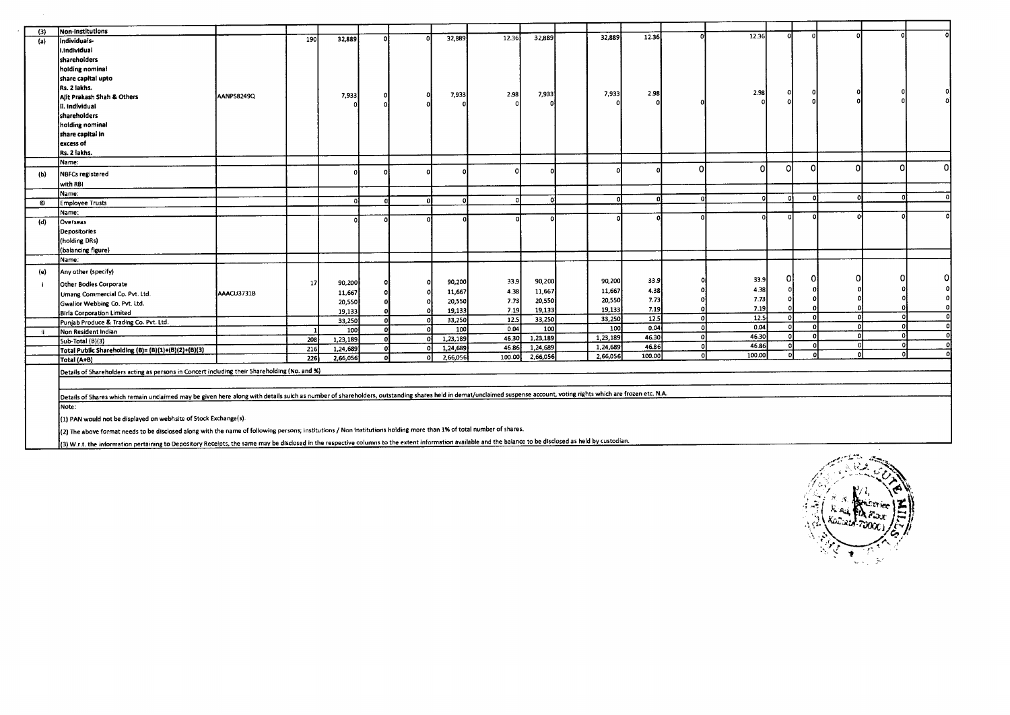| (3)       | Non-Institutions                                                                                                                                                                                                     |            | 190 | 32,889   |    |          | 32,889   | 12.36    | 32.889   | 32,889   | 12.36             |            | 12.36             | $\Omega$ |          |          |              |    |
|-----------|----------------------------------------------------------------------------------------------------------------------------------------------------------------------------------------------------------------------|------------|-----|----------|----|----------|----------|----------|----------|----------|-------------------|------------|-------------------|----------|----------|----------|--------------|----|
| (a)       | individuals-                                                                                                                                                                                                         |            |     |          |    |          |          |          |          |          |                   |            |                   |          |          |          |              |    |
|           | i.Individual                                                                                                                                                                                                         |            |     |          |    |          |          |          |          |          |                   |            |                   |          |          |          |              |    |
|           | shareholders                                                                                                                                                                                                         |            |     |          |    |          |          |          |          |          |                   |            |                   |          |          |          |              |    |
|           | holding nominal                                                                                                                                                                                                      |            |     |          |    |          |          |          |          |          |                   |            |                   |          |          |          |              |    |
|           | share capital upto                                                                                                                                                                                                   |            |     |          |    |          |          |          |          |          |                   |            |                   |          |          |          |              |    |
|           | Rs. 2 lakhs.                                                                                                                                                                                                         |            |     |          |    |          | 7,933    | 2.98     | 7,933    | 7,933    | 2.98              |            | 2.98              |          |          |          |              |    |
|           | Alit Prakash Shah & Others                                                                                                                                                                                           | AANPS8249Q |     | 7,933    |    |          |          |          |          |          |                   |            |                   |          |          |          |              |    |
|           | II. Individual                                                                                                                                                                                                       |            |     |          |    |          |          |          |          |          |                   |            |                   |          |          |          |              |    |
|           | shareholders                                                                                                                                                                                                         |            |     |          |    |          |          |          |          |          |                   |            |                   |          |          |          |              |    |
|           | holding nominal                                                                                                                                                                                                      |            |     |          |    |          |          |          |          |          |                   |            |                   |          |          |          |              |    |
|           | share capital in                                                                                                                                                                                                     |            |     |          |    |          |          |          |          |          |                   |            |                   |          |          |          |              |    |
|           | excess of                                                                                                                                                                                                            |            |     |          |    |          |          |          |          |          |                   |            |                   |          |          |          |              |    |
|           | Rs. 2 lakhs.                                                                                                                                                                                                         |            |     |          |    |          |          |          |          |          |                   |            |                   |          |          |          |              |    |
|           | Name:                                                                                                                                                                                                                |            |     |          |    |          |          |          |          |          |                   | Ω          | n                 | Ω        | Ω        | n        | <sub>0</sub> | 0. |
| (b)       | NBFCs registered                                                                                                                                                                                                     |            |     |          |    |          |          | $\Omega$ |          |          |                   |            |                   |          |          |          |              |    |
|           | with RBI                                                                                                                                                                                                             |            |     |          |    |          |          |          |          |          |                   |            |                   |          |          |          |              |    |
|           | Name:                                                                                                                                                                                                                |            |     |          |    |          |          |          |          |          |                   | $\sqrt{2}$ |                   |          |          |          |              |    |
| $\bullet$ | <b>Employee Trusts</b>                                                                                                                                                                                               |            |     | $\Omega$ |    | $\Omega$ | n        | $\Omega$ |          |          |                   |            |                   |          |          |          |              |    |
|           | Name:                                                                                                                                                                                                                |            |     |          |    |          |          |          |          |          |                   |            |                   |          |          |          |              |    |
| (d)       | Overseas                                                                                                                                                                                                             |            |     |          |    |          |          |          |          |          |                   |            |                   |          |          |          |              |    |
|           | Depositories                                                                                                                                                                                                         |            |     |          |    |          |          |          |          |          |                   |            |                   |          |          |          |              |    |
|           | (holding DRs)                                                                                                                                                                                                        |            |     |          |    |          |          |          |          |          |                   |            |                   |          |          |          |              |    |
|           | (balancing figure)                                                                                                                                                                                                   |            |     |          |    |          |          |          |          |          |                   |            |                   |          |          |          |              |    |
|           | Name:                                                                                                                                                                                                                |            |     |          |    |          |          |          |          |          |                   |            |                   |          |          |          |              |    |
| (e)       | Any other (specify)                                                                                                                                                                                                  |            |     |          |    |          |          |          |          |          |                   |            |                   |          |          |          |              |    |
|           | Other Bodies Corporate                                                                                                                                                                                               |            | 17  | 90,200   |    |          | 90,200   | 33.9     | 90,200   | 90,200   | 33.9              |            | 33.9              | 01       | 0l       |          |              | n  |
|           | Umang Commercial Co. Pvt. Ltd.                                                                                                                                                                                       | AAACU3731B |     | 11,667   |    |          | 11,667   | 4.38     | 11,667   | 11,667   | 4.38              |            | 4.38              |          |          |          |              |    |
|           | Gwalior Webbing Co. Pvt. Ltd.                                                                                                                                                                                        |            |     | 20,550   |    |          | 20,550   | 7.73     | 20,550   | 20,550   | 7.73              |            | 7.73              | $\Omega$ |          |          |              |    |
|           | Birla Corporation Limited                                                                                                                                                                                            |            |     | 19,133   |    |          | 19,133   | 7.19     | 19,133   | 19.133   | 7.19              |            | 7.19              |          |          |          |              |    |
|           | Punjab Produce & Trading Co. Pvt. Ltd.                                                                                                                                                                               |            |     | 33,250   |    | $\Omega$ | 33,250   | 12.5     | 33,250   | 33,250   | $\overline{12.5}$ | $\Omega$   | $\overline{12.5}$ | οl       | $\Omega$ |          |              |    |
| ii.       | Non Resident Indian                                                                                                                                                                                                  |            |     | 100      |    |          | 100      | 0.04     | 100      | 100      | 0.04              | o          | 0.04              | $\Omega$ | $\Omega$ |          |              |    |
|           | Sub-Total (B)(3)                                                                                                                                                                                                     |            | 208 | 1,23,189 |    | ΩÍ       | 1,23,189 | 46.30    | 1,23,189 | 1,23,189 | 46.30             | o          | 46.30             | $\Omega$ |          |          |              |    |
|           | Total Public Shareholding (B)= (B)(1)+(B)(2)+(B)(3)                                                                                                                                                                  |            | 216 | 1,24,689 | O) | Ωİ       | 1,24,689 | 46.86    | 1,24,689 | 1,24,689 | 46.86             | οl         | 46.86             | $\Omega$ | $\Omega$ |          | n            |    |
|           | Total (A+B)                                                                                                                                                                                                          |            | 226 | 2,66,056 |    |          | 2,66,056 | 100.00   | 2,66,056 | 2,66,056 | 100.00            | $\Omega$   | 100.00            | $\Omega$ | n.       | $\Omega$ | n            |    |
|           | Details of Shareholders acting as persons in Concert including their Shareholding (No. and %)                                                                                                                        |            |     |          |    |          |          |          |          |          |                   |            |                   |          |          |          |              |    |
|           |                                                                                                                                                                                                                      |            |     |          |    |          |          |          |          |          |                   |            |                   |          |          |          |              |    |
|           | Oetails of Shares which remain unclaimed may be given here along with details suich as number of shareholders, outstanding shares held in demat/unclaimed suspense account, voting rights which are frozen etc. N.A. |            |     |          |    |          |          |          |          |          |                   |            |                   |          |          |          |              |    |
|           | Note:                                                                                                                                                                                                                |            |     |          |    |          |          |          |          |          |                   |            |                   |          |          |          |              |    |
|           | (1) PAN would not be displayed on webhsite of Stock Exchange(s).                                                                                                                                                     |            |     |          |    |          |          |          |          |          |                   |            |                   |          |          |          |              |    |
|           | (2) The above format needs to be disclosed along with the name of following persons; Institutions / Non Institutions holding more than 1% of total number of shares.                                                 |            |     |          |    |          |          |          |          |          |                   |            |                   |          |          |          |              |    |

(3) W.r.t. the information pertaining to Depository Receipts, the same may be disclosed in the respective columns to the extent information available and the balance to be disclosed as held by custodian.

 $\sim$